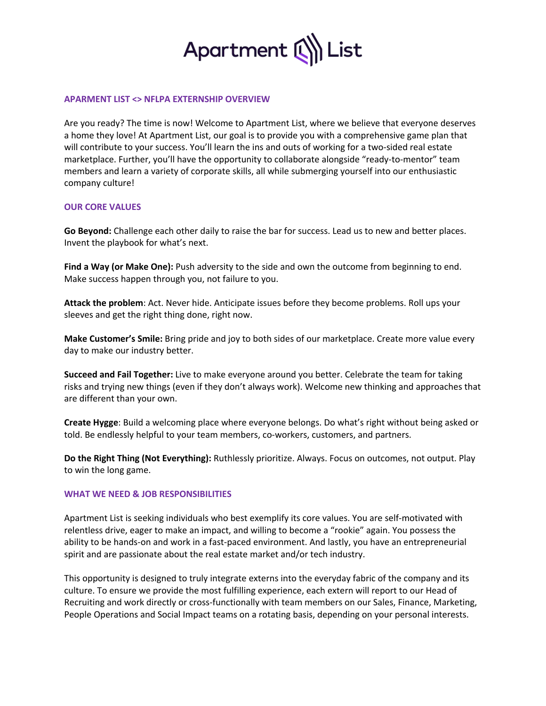

## **APARMENT LIST <> NFLPA EXTERNSHIP OVERVIEW**

Are you ready? The time is now! Welcome to Apartment List, where we believe that everyone deserves a home they love! At Apartment List, our goal is to provide you with a comprehensive game plan that will contribute to your success. You'll learn the ins and outs of working for a two-sided real estate marketplace. Further, you'll have the opportunity to collaborate alongside "ready-to-mentor" team members and learn a variety of corporate skills, all while submerging yourself into our enthusiastic company culture!

### **OUR CORE VALUES**

**Go Beyond:** Challenge each other daily to raise the bar for success. Lead us to new and better places. Invent the playbook for what's next.

**Find a Way (or Make One):** Push adversity to the side and own the outcome from beginning to end. Make success happen through you, not failure to you.

**Attack the problem**: Act. Never hide. Anticipate issues before they become problems. Roll ups your sleeves and get the right thing done, right now.

**Make Customer's Smile:** Bring pride and joy to both sides of our marketplace. Create more value every day to make our industry better.

**Succeed and Fail Together:** Live to make everyone around you better. Celebrate the team for taking risks and trying new things (even if they don't always work). Welcome new thinking and approaches that are different than your own.

**Create Hygge**: Build a welcoming place where everyone belongs. Do what's right without being asked or told. Be endlessly helpful to your team members, co-workers, customers, and partners.

**Do the Right Thing (Not Everything):** Ruthlessly prioritize. Always. Focus on outcomes, not output. Play to win the long game.

#### **WHAT WE NEED & JOB RESPONSIBILITIES**

Apartment List is seeking individuals who best exemplify its core values. You are self-motivated with relentless drive, eager to make an impact, and willing to become a "rookie" again. You possess the ability to be hands-on and work in a fast-paced environment. And lastly, you have an entrepreneurial spirit and are passionate about the real estate market and/or tech industry.

This opportunity is designed to truly integrate externs into the everyday fabric of the company and its culture. To ensure we provide the most fulfilling experience, each extern will report to our Head of Recruiting and work directly or cross-functionally with team members on our Sales, Finance, Marketing, People Operations and Social Impact teams on a rotating basis, depending on your personal interests.